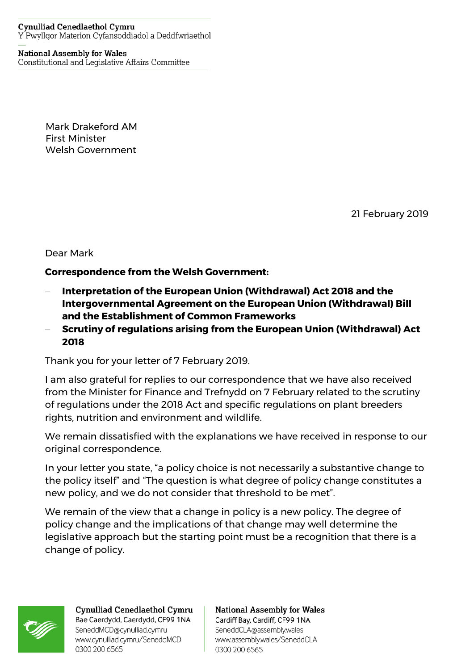## **Cynulliad Cenedlaethol Cymru** Y Pwyllgor Materion Cyfansoddiadol a Deddfwriaethol

## **National Assembly for Wales**

Constitutional and Legislative Affairs Committee

Mark Drakeford AM First Minister Welsh Government

21 February 2019

Dear Mark

## **Correspondence from the Welsh Government:**

- − **Interpretation of the European Union (Withdrawal) Act 2018 and the Intergovernmental Agreement on the European Union (Withdrawal) Bill and the Establishment of Common Frameworks**
- − **Scrutiny of regulations arising from the European Union (Withdrawal) Act 2018**

Thank you for your letter of 7 February 2019.

I am also grateful for replies to our correspondence that we have also received from the Minister for Finance and Trefnydd on 7 February related to the scrutiny of regulations under the 2018 Act and specific regulations on plant breeders rights, nutrition and environment and wildlife.

We remain dissatisfied with the explanations we have received in response to our original correspondence.

In your letter you state, "a policy choice is not necessarily a substantive change to the policy itself" and "The question is what degree of policy change constitutes a new policy, and we do not consider that threshold to be met".

We remain of the view that a change in policy is a new policy. The degree of policy change and the implications of that change may well determine the legislative approach but the starting point must be a recognition that there is a change of policy.



Cynulliad Cenedlaethol Cymru Bae Caerdydd, Caerdydd, CF99 1NA SeneddMCD@cynulliad.cymru www.cynulliad.cymru/SeneddMCD 0300 200 6565

**National Assembly for Wales** Cardiff Bay, Cardiff, CF99 1NA SeneddCLA@assembly.wales www.assembly.wales/SeneddCLA 0300 200 6565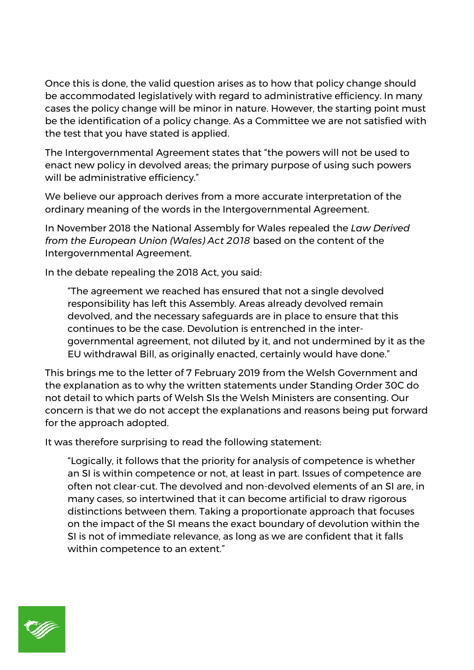Once this is done, the valid question arises as to how that policy change should be accommodated legislatively with regard to administrative efficiency. In many cases the policy change will be minor in nature. However, the starting point must be the identification of a policy change. As a Committee we are not satisfied with the test that you have stated is applied.

The Intergovernmental Agreement states that "the powers will not be used to enact new policy in devolved areas; the primary purpose of using such powers will be administrative efficiency."

We believe our approach derives from a more accurate interpretation of the ordinary meaning of the words in the Intergovernmental Agreement.

In November 2018 the National Assembly for Wales repealed the *Law Derived from the European Union (Wales) Act 2018* based on the content of the Intergovernmental Agreement.

In the debate repealing the 2018 Act, you said:

"The agreement we reached has ensured that not a single devolved responsibility has left this Assembly. Areas already devolved remain devolved, and the necessary safeguards are in place to ensure that this continues to be the case. Devolution is entrenched in the intergovernmental agreement, not diluted by it, and not undermined by it as the EU withdrawal Bill, as originally enacted, certainly would have done."

This brings me to the letter of 7 February 2019 from the Welsh Government and the explanation as to why the written statements under Standing Order 30C do not detail to which parts of Welsh SIs the Welsh Ministers are consenting. Our concern is that we do not accept the explanations and reasons being put forward for the approach adopted.

It was therefore surprising to read the following statement:

"Logically, it follows that the priority for analysis of competence is whether an SI is within competence or not, at least in part. Issues of competence are often not clear-cut. The devolved and non-devolved elements of an SI are, in many cases, so intertwined that it can become artificial to draw rigorous distinctions between them. Taking a proportionate approach that focuses on the impact of the SI means the exact boundary of devolution within the SI is not of immediate relevance, as long as we are confident that it falls within competence to an extent."

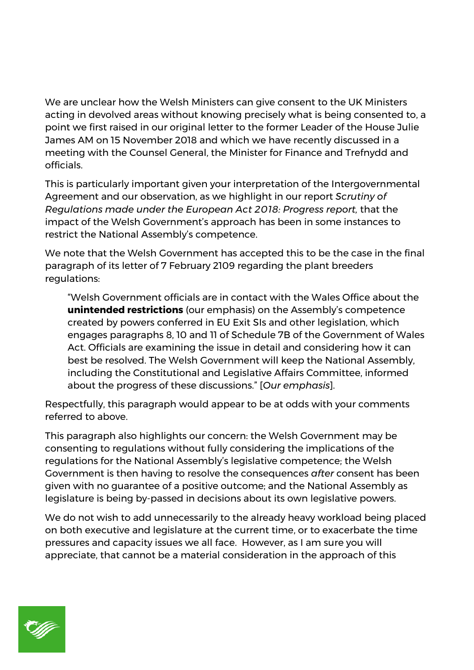We are unclear how the Welsh Ministers can give consent to the UK Ministers acting in devolved areas without knowing precisely what is being consented to, a point we first raised in our original letter to the former Leader of the House Julie James AM on 15 November 2018 and which we have recently discussed in a meeting with the Counsel General, the Minister for Finance and Trefnydd and officials.

This is particularly important given your interpretation of the Intergovernmental Agreement and our observation, as we highlight in our report *Scrutiny of Regulations made under the European Act 2018: Progress report,* that the impact of the Welsh Government's approach has been in some instances to restrict the National Assembly's competence.

We note that the Welsh Government has accepted this to be the case in the final paragraph of its letter of 7 February 2109 regarding the plant breeders regulations:

"Welsh Government officials are in contact with the Wales Office about the **unintended restrictions** (our emphasis) on the Assembly's competence created by powers conferred in EU Exit SIs and other legislation, which engages paragraphs 8, 10 and 11 of Schedule 7B of the Government of Wales Act. Officials are examining the issue in detail and considering how it can best be resolved. The Welsh Government will keep the National Assembly, including the Constitutional and Legislative Affairs Committee, informed about the progress of these discussions." [*Our emphasis*].

Respectfully, this paragraph would appear to be at odds with your comments referred to above.

This paragraph also highlights our concern: the Welsh Government may be consenting to regulations without fully considering the implications of the regulations for the National Assembly's legislative competence; the Welsh Government is then having to resolve the consequences *after* consent has been given with no guarantee of a positive outcome; and the National Assembly as legislature is being by-passed in decisions about its own legislative powers.

We do not wish to add unnecessarily to the already heavy workload being placed on both executive and legislature at the current time, or to exacerbate the time pressures and capacity issues we all face. However, as I am sure you will appreciate, that cannot be a material consideration in the approach of this